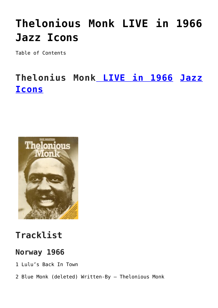# **[Thelonious Monk LIVE in 1966](https://sheetmusiclibrary.website/2022/04/14/thelonious-monk-live/) [Jazz Icons](https://sheetmusiclibrary.website/2022/04/14/thelonious-monk-live/)**

Table of Contents

## **Thelonius Monk [LIVE in 1966](https://www.youtube.com/watch?v=kpkLdbMgrkE) [Jazz](https://sheetmusiclibrary.website/jazz-soul-boogie-gospel-blues-piano-sheet-music-pdf/) [Icons](https://sheetmusiclibrary.website/jazz-soul-boogie-gospel-blues-piano-sheet-music-pdf/)**



### **Tracklist**

#### **Norway 1966**

- 1 Lulu's Back In Town
- 2 Blue Monk (deleted) Written-By Thelonious Monk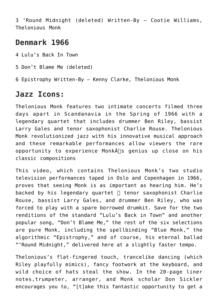3 'Round Midnight (deleted) Written-By – Cootie Williams, Thelonious Monk

#### **Denmark 1966**

4 Lulu's Back In Town

5 Don't Blame Me (deleted)

6 Epistrophy Written-By – Kenny Clarke, Thelonious Monk

#### **Jazz Icons:**

Thelonious Monk features two intimate concerts filmed three days apart in Scandanavia in the Spring of 1966 with a legendary quartet that includes drummer Ben Riley, bassist Larry Gales and tenor saxophonist Charlie Rouse. Thelonious Monk revolutionized jazz with his innovative musical approach and these remarkable performances allow viewers the rare opportunity to experience Monk $\hat{A}$  s genius up close on his classic compositions

This video, which contains Thelonious Monk's two studio television performances taped in Oslo and Copenhagen in 1966, proves that seeing Monk is as important as hearing him. He's backed by his legendary quartet  $\Box$  tenor saxophonist Charlie Rouse, bassist Larry Gales, and drummer Ben Riley, who was forced to play with a spare borrowed drumkit. Save for the two renditions of the standard "Lulu's Back in Town" and another popular song, "Don't Blame Me," the rest of the six selections are pure Monk, including the spellbinding "Blue Monk," the algorithmic "Epistrophy," and of course, his eternal ballad "'Round Midnight," delivered here at a slightly faster tempo.

Thelonious's flat-fingered touch, trancelike dancing (which Riley playfully mimics), fancy footwork at the keyboard, and wild choice of hats steal the show. In the 20-page liner notes,trumpeter, arranger, and Monk scholar Don Sickler encourages you to, "[t]ake this fantastic opportunity to get a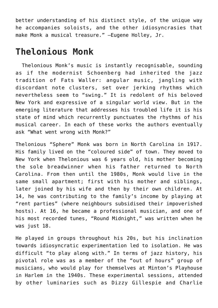better understanding of his distinct style, of the unique way he accompanies soloists, and the other idiosyncrasies that make Monk a musical treasure." –Eugene Holley, Jr.

### **Thelonious Monk**

 Thelonious Monk's music is instantly recognisable, sounding as if the modernist Schoenberg had inherited the jazz tradition of Fats Waller: angular music, jangling with discordant note clusters, set over jerking rhythms which nevertheless seem to "swing." It is redolent of his beloved New York and expressive of a singular world view. But in the emerging literature that addresses his troubled life it is his state of mind which recurrently punctuates the rhythms of his musical career. In each of these works the authors eventually ask "What went wrong with Monk?"

Thelonious "Sphere" Monk was born in North Carolina in 1917. His family lived on the "coloured side" of town. They moved to New York when Thelonious was 6 years old, his mother becoming the sole breadwinner when his father returned to North Carolina. From then until the 1980s, Monk would live in the same small apartment; first with his mother and siblings, later joined by his wife and then by their own children. At 14, he was contributing to the family's income by playing at "rent parties" (where neighbours subsidised their impoverished hosts). At 16, he became a professional musician, and one of his most recorded tunes, "Round Midnight," was written when he was just 18.

He played in groups throughout his 20s, but his inclination towards idiosyncratic experimentation led to isolation. He was difficult "to play along with." In terms of jazz history, his pivotal role was as a member of the "out of hours" group of musicians, who would play for themselves at Minton's Playhouse in Harlem in the 1940s. These experimental sessions, attended by other luminaries such as Dizzy Gillespie and Charlie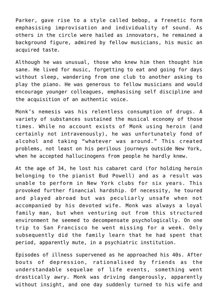Parker, gave rise to a style called bebop, a frenetic form emphasising improvisation and individuality of sound. As others in the circle were hailed as innovators, he remained a background figure, admired by fellow musicians, his music an acquired taste.

Although he was unusual, those who knew him then thought him sane. He lived for music, forgetting to eat and going for days without sleep, wandering from one club to another asking to play the piano. He was generous to fellow musicians and would encourage younger colleagues, emphasising self discipline and the acquisition of an authentic voice.

Monk's nemesis was his relentless consumption of drugs. A variety of substances sustained the musical economy of those times. While no account exists of Monk using heroin (and certainly not intravenously), he was unfortunately fond of alcohol and taking "whatever was around." This created problems, not least on his perilous journeys outside New York, when he accepted hallucinogens from people he hardly knew.

At the age of 34, he lost his cabaret card (for holding heroin belonging to the pianist Bud Powell) and as a result was unable to perform in New York clubs for six years. This provoked further financial hardship. Of necessity, he toured and played abroad but was peculiarly unsafe when not accompanied by his devoted wife. Monk was always a loyal family man, but when venturing out from this structured environment he seemed to decompensate psychologically. On one trip to San Francisco he went missing for a week. Only subsequently did the family learn that he had spent that period, apparently mute, in a psychiatric institution.

Episodes of illness supervened as he approached his 40s. After bouts of depression, rationalised by friends as the understandable sequelae of life events, something went drastically awry. Monk was driving dangerously, apparently without insight, and one day suddenly turned to his wife and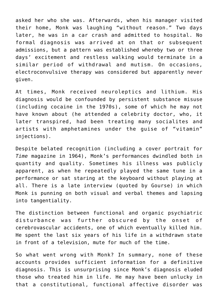asked her who she was. Afterwards, when his manager visited their home, Monk was laughing "without reason." Two days later, he was in a car crash and admitted to hospital. No formal diagnosis was arrived at on that or subsequent admissions, but a pattern was established whereby two or three days' excitement and restless walking would terminate in a similar period of withdrawal and mutism. On occasions, electroconvulsive therapy was considered but apparently never given.

At times, Monk received neuroleptics and lithium. His diagnosis would be confounded by persistent substance misuse (including cocaine in the 1970s), some of which he may not have known about (he attended a celebrity doctor, who, it later transpired, had been treating many socialites and artists with amphetamines under the guise of "vitamin" injections).

Despite belated recognition (including a cover portrait for *Time* magazine in 1964), Monk's performances dwindled both in quantity and quality. Sometimes his illness was publicly apparent, as when he repeatedly played the same tune in a performance or sat staring at the keyboard without playing at all. There is a late interview (quoted by Gourse) in which Monk is punning on both visual and verbal themes and lapsing into tangentiality.

The distinction between functional and organic psychiatric disturbance was further obscured by the onset of cerebrovascular accidents, one of which eventually killed him. He spent the last six years of his life in a withdrawn state in front of a television, mute for much of the time.

So what went wrong with Monk? In summary, none of these accounts provides sufficient information for a definitive diagnosis. This is unsurprising since Monk's diagnosis eluded those who treated him in life. He may have been unlucky in that a constitutional, functional affective disorder was